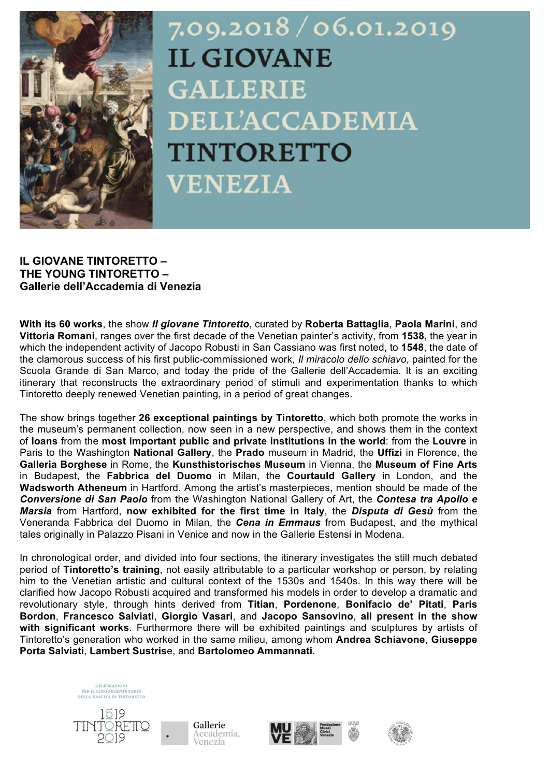

# 7.09.2018/06.01.2019 **IL GIOVANE GALLERIE DELL'ACCADEMIA TINTORETTO VENEZIA**

# **IL GIOVANE TINTORETTO – THE YOUNG TINTORETTO – Gallerie dell'Accademia di Venezia**

**With its 60 works**, the show *Il giovane Tintoretto*, curated by **Roberta Battaglia**, **Paola Marini**, and **Vittoria Romani**, ranges over the first decade of the Venetian painter's activity, from **1538**, the year in which the independent activity of Jacopo Robusti in San Cassiano was first noted, to **1548**, the date of the clamorous success of his first public-commissioned work, *Il miracolo dello schiavo*, painted for the Scuola Grande di San Marco, and today the pride of the Gallerie dell'Accademia. It is an exciting itinerary that reconstructs the extraordinary period of stimuli and experimentation thanks to which Tintoretto deeply renewed Venetian painting, in a period of great changes.

The show brings together **26 exceptional paintings by Tintoretto**, which both promote the works in the museum's permanent collection, now seen in a new perspective, and shows them in the context of **loans** from the **most important public and private institutions in the world**: from the **Louvre** in Paris to the Washington **National Gallery**, the **Prado** museum in Madrid, the **Uffizi** in Florence, the **Galleria Borghese** in Rome, the **Kunsthistorisches Museum** in Vienna, the **Museum of Fine Arts** in Budapest, the **Fabbrica del Duomo** in Milan, the **Courtauld Gallery** in London, and the **Wadsworth Atheneum** in Hartford. Among the artist's masterpieces, mention should be made of the *Conversione di San Paolo* from the Washington National Gallery of Art, the *Contesa tra Apollo e Marsia* from Hartford, **now exhibited for the first time in Italy**, the *Disputa di Gesù* from the Veneranda Fabbrica del Duomo in Milan, the *Cena in Emmaus* from Budapest, and the mythical tales originally in Palazzo Pisani in Venice and now in the Gallerie Estensi in Modena.

In chronological order, and divided into four sections, the itinerary investigates the still much debated period of **Tintoretto's training**, not easily attributable to a particular workshop or person, by relating him to the Venetian artistic and cultural context of the 1530s and 1540s. In this way there will be clarified how Jacopo Robusti acquired and transformed his models in order to develop a dramatic and revolutionary style, through hints derived from **Titian**, **Pordenone**, **Bonifacio de' Pitati**, **Paris Bordon**, **Francesco Salviati**, **Giorgio Vasari**, and **Jacopo Sansovino**, **all present in the show with significant works**. Furthermore there will be exhibited paintings and sculptures by artists of Tintoretto's generation who worked in the same milieu, among whom **Andrea Schiavone**, **Giuseppe Porta Salviati**, **Lambert Sustris**e, and **Bartolomeo Ammannati**.









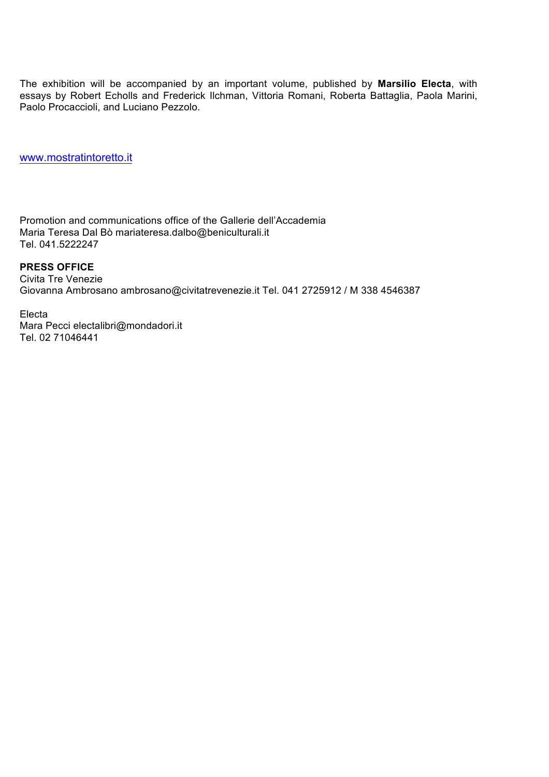The exhibition will be accompanied by an important volume, published by **Marsilio Electa**, with essays by Robert Echolls and Frederick Ilchman, Vittoria Romani, Roberta Battaglia, Paola Marini, Paolo Procaccioli, and Luciano Pezzolo.

www.mostratintoretto.it

Promotion and communications office of the Gallerie dell'Accademia Maria Teresa Dal Bò mariateresa.dalbo@beniculturali.it Tel. 041.5222247

#### **PRESS OFFICE**

Civita Tre Venezie Giovanna Ambrosano ambrosano@civitatrevenezie.it Tel. 041 2725912 / M 338 4546387

Electa Mara Pecci electalibri@mondadori.it

Tel. 02 71046441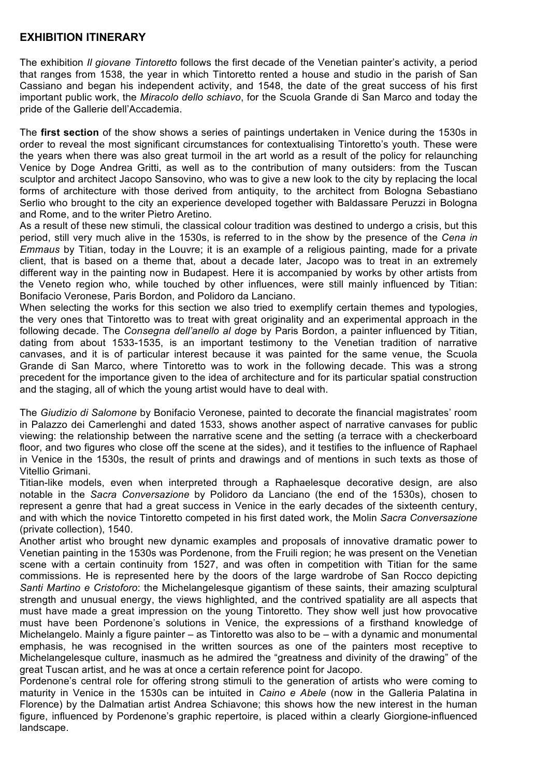## **EXHIBITION ITINERARY**

The exhibition *Il giovane Tintoretto* follows the first decade of the Venetian painter's activity, a period that ranges from 1538, the year in which Tintoretto rented a house and studio in the parish of San Cassiano and began his independent activity, and 1548, the date of the great success of his first important public work, the *Miracolo dello schiavo*, for the Scuola Grande di San Marco and today the pride of the Gallerie dell'Accademia.

The **first section** of the show shows a series of paintings undertaken in Venice during the 1530s in order to reveal the most significant circumstances for contextualising Tintoretto's youth. These were the years when there was also great turmoil in the art world as a result of the policy for relaunching Venice by Doge Andrea Gritti, as well as to the contribution of many outsiders: from the Tuscan sculptor and architect Jacopo Sansovino, who was to give a new look to the city by replacing the local forms of architecture with those derived from antiquity, to the architect from Bologna Sebastiano Serlio who brought to the city an experience developed together with Baldassare Peruzzi in Bologna and Rome, and to the writer Pietro Aretino.

As a result of these new stimuli, the classical colour tradition was destined to undergo a crisis, but this period, still very much alive in the 1530s, is referred to in the show by the presence of the *Cena in Emmaus* by Titian, today in the Louvre; it is an example of a religious painting, made for a private client, that is based on a theme that, about a decade later, Jacopo was to treat in an extremely different way in the painting now in Budapest. Here it is accompanied by works by other artists from the Veneto region who, while touched by other influences, were still mainly influenced by Titian: Bonifacio Veronese, Paris Bordon, and Polidoro da Lanciano.

When selecting the works for this section we also tried to exemplify certain themes and typologies, the very ones that Tintoretto was to treat with great originality and an experimental approach in the following decade. The *Consegna dell'anello al doge* by Paris Bordon, a painter influenced by Titian, dating from about 1533-1535, is an important testimony to the Venetian tradition of narrative canvases, and it is of particular interest because it was painted for the same venue, the Scuola Grande di San Marco, where Tintoretto was to work in the following decade. This was a strong precedent for the importance given to the idea of architecture and for its particular spatial construction and the staging, all of which the young artist would have to deal with.

The *Giudizio di Salomone* by Bonifacio Veronese, painted to decorate the financial magistrates' room in Palazzo dei Camerlenghi and dated 1533, shows another aspect of narrative canvases for public viewing: the relationship between the narrative scene and the setting (a terrace with a checkerboard floor, and two figures who close off the scene at the sides), and it testifies to the influence of Raphael in Venice in the 1530s, the result of prints and drawings and of mentions in such texts as those of Vitellio Grimani.

Titian-like models, even when interpreted through a Raphaelesque decorative design, are also notable in the *Sacra Conversazione* by Polidoro da Lanciano (the end of the 1530s), chosen to represent a genre that had a great success in Venice in the early decades of the sixteenth century, and with which the novice Tintoretto competed in his first dated work, the Molin *Sacra Conversazione* (private collection), 1540.

Another artist who brought new dynamic examples and proposals of innovative dramatic power to Venetian painting in the 1530s was Pordenone, from the Fruili region; he was present on the Venetian scene with a certain continuity from 1527, and was often in competition with Titian for the same commissions. He is represented here by the doors of the large wardrobe of San Rocco depicting *Santi Martino e Cristoforo*: the Michelangelesque gigantism of these saints, their amazing sculptural strength and unusual energy, the views highlighted, and the contrived spatiality are all aspects that must have made a great impression on the young Tintoretto. They show well just how provocative must have been Pordenone's solutions in Venice, the expressions of a firsthand knowledge of Michelangelo. Mainly a figure painter – as Tintoretto was also to be – with a dynamic and monumental emphasis, he was recognised in the written sources as one of the painters most receptive to Michelangelesque culture, inasmuch as he admired the "greatness and divinity of the drawing" of the great Tuscan artist, and he was at once a certain reference point for Jacopo.

Pordenone's central role for offering strong stimuli to the generation of artists who were coming to maturity in Venice in the 1530s can be intuited in *Caino e Abele* (now in the Galleria Palatina in Florence) by the Dalmatian artist Andrea Schiavone; this shows how the new interest in the human figure, influenced by Pordenone's graphic repertoire, is placed within a clearly Giorgione-influenced landscape.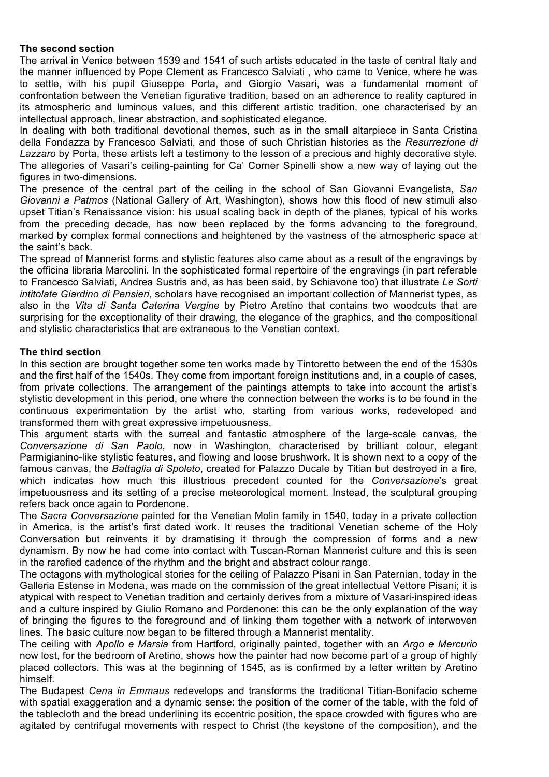## **The second section**

The arrival in Venice between 1539 and 1541 of such artists educated in the taste of central Italy and the manner influenced by Pope Clement as Francesco Salviati , who came to Venice, where he was to settle, with his pupil Giuseppe Porta, and Giorgio Vasari, was a fundamental moment of confrontation between the Venetian figurative tradition, based on an adherence to reality captured in its atmospheric and luminous values, and this different artistic tradition, one characterised by an intellectual approach, linear abstraction, and sophisticated elegance.

In dealing with both traditional devotional themes, such as in the small altarpiece in Santa Cristina della Fondazza by Francesco Salviati, and those of such Christian histories as the *Resurrezione di Lazzaro* by Porta, these artists left a testimony to the lesson of a precious and highly decorative style. The allegories of Vasari's ceiling-painting for Ca' Corner Spinelli show a new way of laying out the figures in two-dimensions.

The presence of the central part of the ceiling in the school of San Giovanni Evangelista, *San Giovanni a Patmos* (National Gallery of Art, Washington), shows how this flood of new stimuli also upset Titian's Renaissance vision: his usual scaling back in depth of the planes, typical of his works from the preceding decade, has now been replaced by the forms advancing to the foreground, marked by complex formal connections and heightened by the vastness of the atmospheric space at the saint's back.

The spread of Mannerist forms and stylistic features also came about as a result of the engravings by the officina libraria Marcolini. In the sophisticated formal repertoire of the engravings (in part referable to Francesco Salviati, Andrea Sustris and, as has been said, by Schiavone too) that illustrate *Le Sorti intitolate Giardino di Pensieri*, scholars have recognised an important collection of Mannerist types, as also in the *Vita di Santa Caterina Vergine* by Pietro Aretino that contains two woodcuts that are surprising for the exceptionality of their drawing, the elegance of the graphics, and the compositional and stylistic characteristics that are extraneous to the Venetian context.

#### **The third section**

In this section are brought together some ten works made by Tintoretto between the end of the 1530s and the first half of the 1540s. They come from important foreign institutions and, in a couple of cases, from private collections. The arrangement of the paintings attempts to take into account the artist's stylistic development in this period, one where the connection between the works is to be found in the continuous experimentation by the artist who, starting from various works, redeveloped and transformed them with great expressive impetuousness.

This argument starts with the surreal and fantastic atmosphere of the large-scale canvas, the *Conversazione di San Paolo*, now in Washington, characterised by brilliant colour, elegant Parmigianino-like stylistic features, and flowing and loose brushwork. It is shown next to a copy of the famous canvas, the *Battaglia di Spoleto*, created for Palazzo Ducale by Titian but destroyed in a fire, which indicates how much this illustrious precedent counted for the *Conversazione*'s great impetuousness and its setting of a precise meteorological moment. Instead, the sculptural grouping refers back once again to Pordenone.

The *Sacra Conversazione* painted for the Venetian Molin family in 1540, today in a private collection in America, is the artist's first dated work. It reuses the traditional Venetian scheme of the Holy Conversation but reinvents it by dramatising it through the compression of forms and a new dynamism. By now he had come into contact with Tuscan-Roman Mannerist culture and this is seen in the rarefied cadence of the rhythm and the bright and abstract colour range.

The octagons with mythological stories for the ceiling of Palazzo Pisani in San Paternian, today in the Galleria Estense in Modena, was made on the commission of the great intellectual Vettore Pisani; it is atypical with respect to Venetian tradition and certainly derives from a mixture of Vasari-inspired ideas and a culture inspired by Giulio Romano and Pordenone: this can be the only explanation of the way of bringing the figures to the foreground and of linking them together with a network of interwoven lines. The basic culture now began to be filtered through a Mannerist mentality.

The ceiling with *Apollo e Marsia* from Hartford, originally painted, together with an *Argo e Mercurio* now lost, for the bedroom of Aretino, shows how the painter had now become part of a group of highly placed collectors. This was at the beginning of 1545, as is confirmed by a letter written by Aretino himself.

The Budapest *Cena in Emmaus* redevelops and transforms the traditional Titian-Bonifacio scheme with spatial exaggeration and a dynamic sense: the position of the corner of the table, with the fold of the tablecloth and the bread underlining its eccentric position, the space crowded with figures who are agitated by centrifugal movements with respect to Christ (the keystone of the composition), and the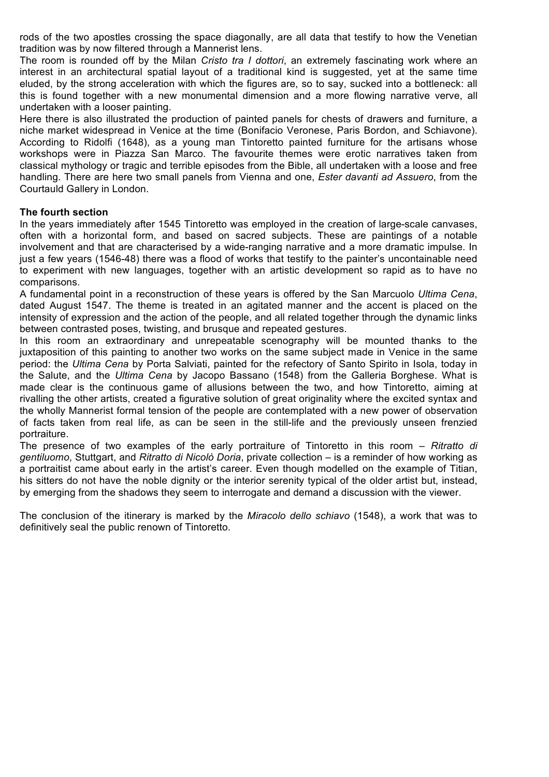rods of the two apostles crossing the space diagonally, are all data that testify to how the Venetian tradition was by now filtered through a Mannerist lens.

The room is rounded off by the Milan *Cristo tra I dottori*, an extremely fascinating work where an interest in an architectural spatial layout of a traditional kind is suggested, yet at the same time eluded, by the strong acceleration with which the figures are, so to say, sucked into a bottleneck: all this is found together with a new monumental dimension and a more flowing narrative verve, all undertaken with a looser painting.

Here there is also illustrated the production of painted panels for chests of drawers and furniture, a niche market widespread in Venice at the time (Bonifacio Veronese, Paris Bordon, and Schiavone). According to Ridolfi (1648), as a young man Tintoretto painted furniture for the artisans whose workshops were in Piazza San Marco. The favourite themes were erotic narratives taken from classical mythology or tragic and terrible episodes from the Bible, all undertaken with a loose and free handling. There are here two small panels from Vienna and one, *Ester davanti ad Assuero*, from the Courtauld Gallery in London.

#### **The fourth section**

In the years immediately after 1545 Tintoretto was employed in the creation of large-scale canvases, often with a horizontal form, and based on sacred subjects. These are paintings of a notable involvement and that are characterised by a wide-ranging narrative and a more dramatic impulse. In just a few years (1546-48) there was a flood of works that testify to the painter's uncontainable need to experiment with new languages, together with an artistic development so rapid as to have no comparisons.

A fundamental point in a reconstruction of these years is offered by the San Marcuolo *Ultima Cena*, dated August 1547. The theme is treated in an agitated manner and the accent is placed on the intensity of expression and the action of the people, and all related together through the dynamic links between contrasted poses, twisting, and brusque and repeated gestures.

In this room an extraordinary and unrepeatable scenography will be mounted thanks to the juxtaposition of this painting to another two works on the same subject made in Venice in the same period: the *Ultima Cena* by Porta Salviati, painted for the refectory of Santo Spirito in Isola, today in the Salute, and the *Ultima Cena* by Jacopo Bassano (1548) from the Galleria Borghese. What is made clear is the continuous game of allusions between the two, and how Tintoretto, aiming at rivalling the other artists, created a figurative solution of great originality where the excited syntax and the wholly Mannerist formal tension of the people are contemplated with a new power of observation of facts taken from real life, as can be seen in the still-life and the previously unseen frenzied portraiture.

The presence of two examples of the early portraiture of Tintoretto in this room – *Ritratto di gentiluomo*, Stuttgart, and *Ritratto di Nicolò Doria*, private collection – is a reminder of how working as a portraitist came about early in the artist's career. Even though modelled on the example of Titian, his sitters do not have the noble dignity or the interior serenity typical of the older artist but, instead, by emerging from the shadows they seem to interrogate and demand a discussion with the viewer.

The conclusion of the itinerary is marked by the *Miracolo dello schiavo* (1548), a work that was to definitively seal the public renown of Tintoretto.